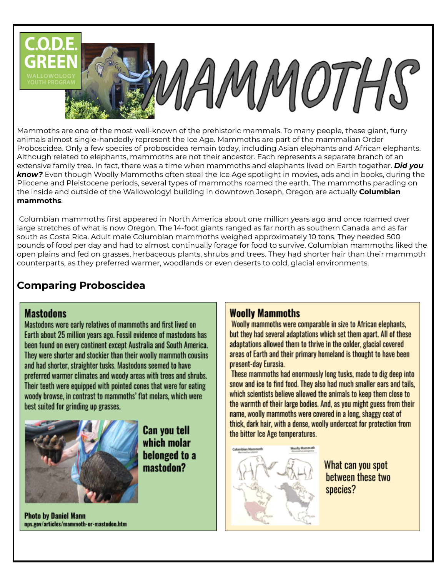Mammoths are one of the most well-known of the prehistoric mammals. To many people, these giant, furry animals almost single-handedly represent the Ice Age. Mammoths are part of the mammalian Order Proboscidea. Only a few species of proboscidea remain today, including Asian elephants and African elephants. Although related to elephants, mammoths are not their ancestor. Each represents a separate branch of an extensive family tree. In fact, there was a time when mammoths and elephants lived on Earth together. *Did you know?* Even though Woolly Mammoths often steal the Ice Age spotlight in movies, ads and in books, during the Pliocene and Pleistocene periods, several types of mammoths roamed the earth. The mammoths parading on the inside and outside of the Wallowology! building in downtown Joseph, Oregon are actually **Columbian mammoths**.

Columbian mammoths first appeared in North America about one million years ago and once roamed over large stretches of what is now Oregon. The 14-foot giants ranged as far north as southern Canada and as far south as Costa Rica. Adult male Columbian mammoths weighed approximately 10 tons. They needed 500 pounds of food per day and had to almost continually forage for food to survive. Columbian mammoths liked the open plains and fed on grasses, herbaceous plants, shrubs and trees. They had shorter hair than their mammoth counterparts, as they preferred warmer, woodlands or even deserts to cold, glacial environments.

## **Comparing Proboscidea**

## **Mastodons**

Mastodons were early relatives of mammoths and first lived on Earth about 25 million years ago. Fossil evidence of mastodons has been found on every continent except Australia and South America. They were shorter and stockier than their woolly mammoth cousins and had shorter, straighter tusks. Mastodons seemed to have preferred warmer climates and woody areas with trees and shrubs. Their teeth were equipped with pointed cones that were for eating woody browse, in contrast to mammoths' flat molars, which were best suited for grinding up grasses.



**Can you tell** which molar belonged to a mastodon?

**Photo by Daniel Mann** nps.gov/articles/mammoth-or-mastodon.htm

## **Woolly Mammoths**

AMMOTH

Woolly mammoths were comparable in size to African elephants, but they had several adaptations which set them apart. All of these adaptations allowed them to thrive in the colder, glacial covered areas of Earth and their primary homeland is thought to have been present-day Eurasia.

These mammoths had enormously long tusks, made to dig deep into snow and ice to find food. They also had much smaller ears and tails. which scientists believe allowed the animals to keep them close to the warmth of their large bodies. And, as you might guess from their name, woolly mammoths were covered in a long, shaggy coat of thick, dark hair, with a dense, woolly undercoat for protection from the bitter Ice Age temperatures.



What can you spot between these two species?